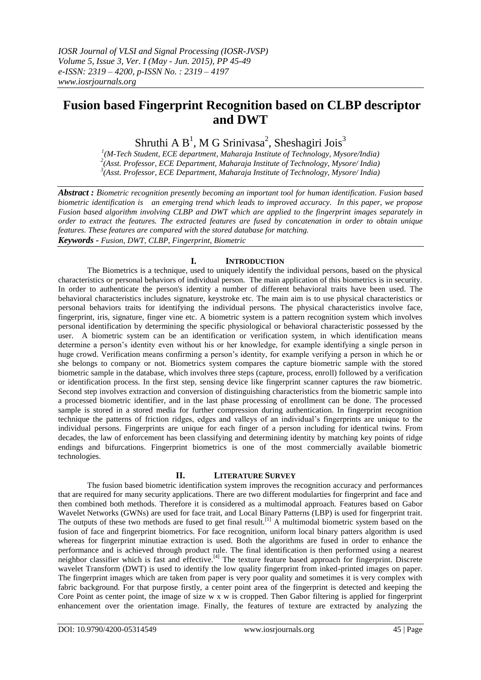# **Fusion based Fingerprint Recognition based on CLBP descriptor and DWT**

Shruthi A  $B^1$ , M G Srinivasa<sup>2</sup>, Sheshagiri Jois<sup>3</sup>

<sup>1</sup>(M-Tech Student, ECE department, Maharaja Institute of Technology, Mysore/India)<br><sup>2</sup>(Asst. Professor, ECE Department, Maharaja Institute of Technology, Mysore/ India) *3 (Asst. Professor, ECE Department, Maharaja Institute of Technology, Mysore/ India)*

*Abstract : Biometric recognition presently becoming an important tool for human identification. Fusion based biometric identification is an emerging trend which leads to improved accuracy. In this paper, we propose Fusion based algorithm involving CLBP and DWT which are applied to the fingerprint images separately in order to extract the features. The extracted features are fused by concatenation in order to obtain unique features. These features are compared with the stored database for matching. Keywords - Fusion, DWT, CLBP, Fingerprint, Biometric*

# **I. INTRODUCTION**

The Biometrics is a technique, used to uniquely identify the individual persons, based on the physical characteristics or personal behaviors of individual person. The main application of this biometrics is in security. In order to authenticate the person's identity a number of different behavioral traits have been used. The behavioral characteristics includes signature, keystroke etc. The main aim is to use physical characteristics or personal behaviors traits for identifying the individual persons. The physical characteristics involve face, fingerprint, iris, signature, finger vine etc. A biometric system is a pattern recognition system which involves personal identification by determining the specific physiological or behavioral characteristic possessed by the user. A biometric system can be an identification or verification system, in which identification means determine a person's identity even without his or her knowledge, for example identifying a single person in huge crowd. Verification means confirming a person"s identity, for example verifying a person in which he or she belongs to company or not. Biometrics system compares the capture biometric sample with the stored biometric sample in the database, which involves three steps (capture, process, enroll) followed by a verification or identification process. In the first step, sensing device like fingerprint scanner captures the raw biometric. Second step involves extraction and conversion of distinguishing characteristics from the biometric sample into a processed biometric identifier, and in the last phase processing of enrollment can be done. The processed sample is stored in a stored media for further compression during authentication. In fingerprint recognition technique the patterns of friction ridges, edges and valleys of an individual"s fingerprints are unique to the individual persons. Fingerprints are unique for each finger of a person including for identical twins. From decades, the law of enforcement has been classifying and determining identity by matching key points of ridge endings and bifurcations. Fingerprint biometrics is one of the most commercially available biometric technologies.

## **II. LITERATURE SURVEY**

The fusion based biometric identification system improves the recognition accuracy and performances that are required for many security applications. There are two different modularties for fingerprint and face and then combined both methods. Therefore it is considered as a multimodal approach. Features based on Gabor Wavelet Networks (GWNs) are used for face trait, and Local Binary Patterns (LBP) is used for fingerprint trait. The outputs of these two methods are fused to get final result.<sup>[1]</sup> A multimodal biometric system based on the fusion of face and fingerprint biometrics. For face recognition, uniform local binary patters algorithm is used whereas for fingerprint minutiae extraction is used. Both the algorithms are fused in order to enhance the performance and is achieved through product rule. The final identification is then performed using a nearest neighbor classifier which is fast and effective.<sup>[4]</sup> The texture feature based approach for fingerprint. Discrete wavelet Transform (DWT) is used to identify the low quality fingerprint from inked-printed images on paper. The fingerprint images which are taken from paper is very poor quality and sometimes it is very complex with fabric background. For that purpose firstly, a center point area of the fingerprint is detected and keeping the Core Point as center point, the image of size w x w is cropped. Then Gabor filtering is applied for fingerprint enhancement over the orientation image. Finally, the features of texture are extracted by analyzing the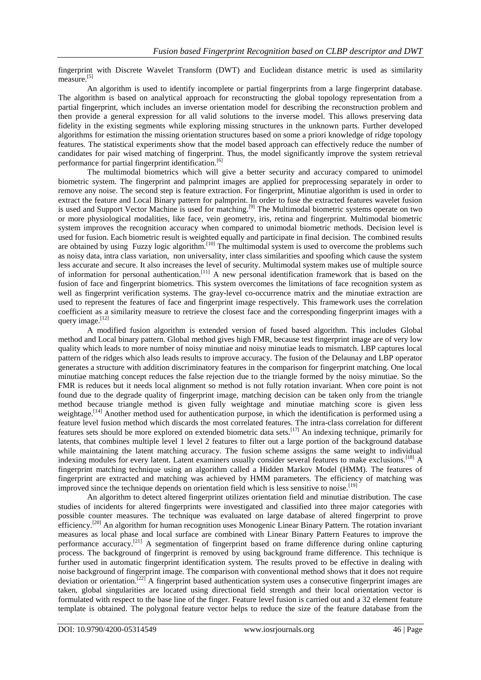fingerprint with Discrete Wavelet Transform (DWT) and Euclidean distance metric is used as similarity measure.<sup>[5]</sup>

An algorithm is used to identify incomplete or partial fingerprints from a large fingerprint database. The algorithm is based on analytical approach for reconstructing the global topology representation from a partial fingerprint, which includes an inverse orientation model for describing the reconstruction problem and then provide a general expression for all valid solutions to the inverse model. This allows preserving data fidelity in the existing segments while exploring missing structures in the unknown parts. Further developed algorithms for estimation the missing orientation structures based on some a priori knowledge of ridge topology features. The statistical experiments show that the model based approach can effectively reduce the number of candidates for pair wised matching of fingerprint. Thus, the model significantly improve the system retrieval performance for partial fingerprint identification.<sup>[6]</sup>

The multimodal biometrics which will give a better security and accuracy compared to unimodel biometric system. The fingerprint and palmprint images are applied for preprocessing separately in order to remove any noise. The second step is feature extraction. For fingerprint, Minutiae algorithm is used in order to extract the feature and Local Binary pattern for palmprint. In order to fuse the extracted features wavelet fusion is used and Support Vector Machine is used for matching.<sup>[9]</sup> The Multimodal biometric systems operate on two or more physiological modalities, like face, vein geometry, iris, retina and fingerprint. Multimodal biometric system improves the recognition accuracy when compared to unimodal biometric methods. Decision level is used for fusion. Each biometric result is weighted equally and participate in final decision. The combined results are obtained by using Fuzzy logic algorithm.<sup>[10]</sup> The multimodal system is used to overcome the problems such as noisy data, intra class variation, non universality, inter class similarities and spoofing which cause the system less accurate and secure. It also increases the level of security. Multimodal system makes use of multiple source of information for personal authentication.[11] A new personal identification framework that is based on the fusion of face and fingerprint biometrics. This system overcomes the limitations of face recognition system as well as fingerprint verification systems. The gray-level co-occurrence matrix and the minutiae extraction are used to represent the features of face and fingerprint image respectively. This framework uses the correlation coefficient as a similarity measure to retrieve the closest face and the corresponding fingerprint images with a query image.<sup>[12]</sup>

A modified fusion algorithm is extended version of fused based algorithm. This includes Global method and Local binary pattern. Global method gives high FMR, because test fingerprint image are of very low quality which leads to more number of noisy minutiae and noisy minutiae leads to mismatch. LBP captures local pattern of the ridges which also leads results to improve accuracy. The fusion of the Delaunay and LBP operator generates a structure with addition discriminatory features in the comparison for fingerprint matching. One local minutiae matching concept reduces the false rejection due to the triangle formed by the noisy minutiae. So the FMR is reduces but it needs local alignment so method is not fully rotation invariant. When core point is not found due to the degrade quality of fingerprint image, matching decision can be taken only from the triangle method because triangle method is given fully weightage and minutiae matching score is given less weightage.<sup>[14]</sup> Another method used for authentication purpose, in which the identification is performed using a feature level fusion method which discards the most correlated features. The intra-class correlation for different features sets should be more explored on extended biometric data sets.<sup>[17]</sup> An indexing technique, primarily for latents, that combines multiple level 1 level 2 features to filter out a large portion of the background database while maintaining the latent matching accuracy. The fusion scheme assigns the same weight to individual indexing modules for every latent. Latent examiners usually consider several features to make exclusions.<sup>[18]</sup> A fingerprint matching technique using an algorithm called a Hidden Markov Model (HMM). The features of fingerprint are extracted and matching was achieved by HMM parameters. The efficiency of matching was improved since the technique depends on orientation field which is less sensitive to noise.<sup>[19]</sup>

An algorithm to detect altered fingerprint utilizes orientation field and minutiae distribution. The case studies of incidents for altered fingerprints were investigated and classified into three major categories with possible counter measures. The technique was evaluated on large database of altered fingerprint to prove efficiency.<sup>[20]</sup> An algorithm for human recognition uses Monogenic Linear Binary Pattern. The rotation invariant measures as local phase and local surface are combined with Linear Binary Pattern Features to improve the performance accuracy.[21] A segmentation of fingerprint based on frame difference during online capturing process. The background of fingerprint is removed by using background frame difference. This technique is further used in automatic fingerprint identification system. The results proved to be effective in dealing with noise background of fingerprint image. The comparison with conventional method shows that it does not require deviation or orientation.<sup>[22]</sup> A fingerprint based authentication system uses a consecutive fingerprint images are taken, global singularities are located using directional field strength and their local orientation vector is formulated with respect to the base line of the finger. Feature level fusion is carried out and a 32 element feature template is obtained. The polygonal feature vector helps to reduce the size of the feature database from the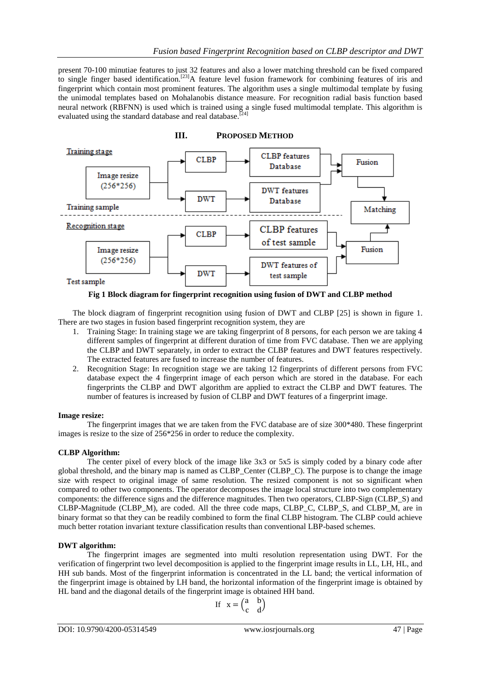present 70-100 minutiae features to just 32 features and also a lower matching threshold can be fixed compared to single finger based identification.<sup>[23]</sup>A feature level fusion framework for combining features of iris and fingerprint which contain most prominent features. The algorithm uses a single multimodal template by fusing the unimodal templates based on Mohalanobis distance measure. For recognition radial basis function based neural network (RBFNN) is used which is trained using a single fused multimodal template. This algorithm is evaluated using the standard database and real database.<sup>[24]</sup>



**Fig 1 Block diagram for fingerprint recognition using fusion of DWT and CLBP method**

The block diagram of fingerprint recognition using fusion of DWT and CLBP [25] is shown in figure 1. There are two stages in fusion based fingerprint recognition system, they are

- 1. Training Stage: In training stage we are taking fingerprint of 8 persons, for each person we are taking 4 different samples of fingerprint at different duration of time from FVC database. Then we are applying the CLBP and DWT separately, in order to extract the CLBP features and DWT features respectively. The extracted features are fused to increase the number of features.
- 2. Recognition Stage: In recognition stage we are taking 12 fingerprints of different persons from FVC database expect the 4 fingerprint image of each person which are stored in the database. For each fingerprints the CLBP and DWT algorithm are applied to extract the CLBP and DWT features. The number of features is increased by fusion of CLBP and DWT features of a fingerprint image.

## **Image resize:**

The fingerprint images that we are taken from the FVC database are of size 300\*480. These fingerprint images is resize to the size of 256\*256 in order to reduce the complexity.

## **CLBP Algorithm:**

The center pixel of every block of the image like 3x3 or 5x5 is simply coded by a binary code after global threshold, and the binary map is named as CLBP\_Center (CLBP\_C). The purpose is to change the image size with respect to original image of same resolution. The resized component is not so significant when compared to other two components. The operator decomposes the image local structure into two complementary components: the difference signs and the difference magnitudes. Then two operators, CLBP-Sign (CLBP\_S) and CLBP-Magnitude (CLBP\_M), are coded. All the three code maps, CLBP\_C, CLBP\_S, and CLBP\_M, are in binary format so that they can be readily combined to form the final CLBP histogram. The CLBP could achieve much better rotation invariant texture classification results than conventional LBP-based schemes.

## **DWT algorithm:**

The fingerprint images are segmented into multi resolution representation using DWT. For the verification of fingerprint two level decomposition is applied to the fingerprint image results in LL, LH, HL, and HH sub bands. Most of the fingerprint information is concentrated in the LL band; the vertical information of the fingerprint image is obtained by LH band, the horizontal information of the fingerprint image is obtained by HL band and the diagonal details of the fingerprint image is obtained HH band.

$$
If x = \begin{pmatrix} a & b \\ c & d \end{pmatrix}
$$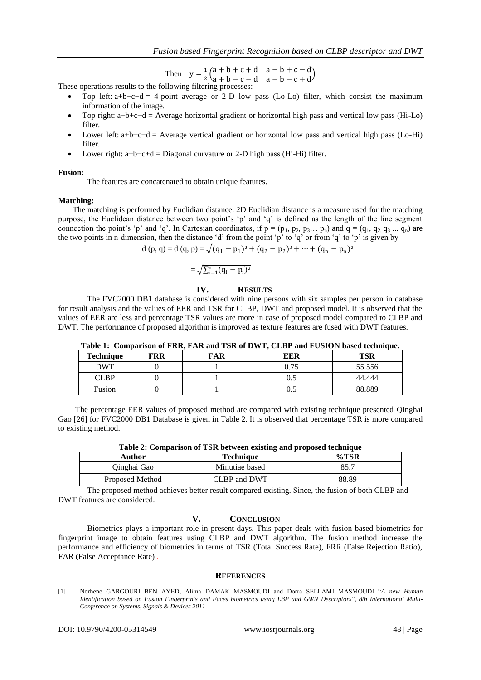Then  $y = \frac{1}{2}$  $\frac{1}{2}$ (a + b + c + d a − b + c − d<br> $\frac{1}{2}$ (a + b − c − d a − b − c + d  $a + b - c - d$  a - b - c + d)

These operations results to the following filtering processes:

- Top left:  $a+b+c+d = 4$ -point average or 2-D low pass (Lo-Lo) filter, which consist the maximum information of the image.
- Top right: a−b+c−d = Average horizontal gradient or horizontal high pass and vertical low pass (Hi-Lo) filter.
- Lower left: a+b−c−d = Average vertical gradient or horizontal low pass and vertical high pass (Lo-Hi) filter.
- Lower right: a−b−c+d = Diagonal curvature or 2-D high pass (Hi-Hi) filter.

#### **Fusion:**

The features are concatenated to obtain unique features.

#### **Matching:**

The matching is performed by Euclidian distance. 2D Euclidian distance is a measure used for the matching purpose, the Euclidean distance between two point's 'p' and 'q' is defined as the length of the line segment connection the point's 'p' and 'q'. In Cartesian coordinates, if  $p = (p_1, p_2, p_3, \ldots, p_n)$  and  $q = (q_1, q_2, q_3, \ldots, q_n)$  are the two points in n-dimension, then the distance 'd' from the point 'p' to 'q' or from 'q' to 'p' is given by

d (p, q) = d (q, p) = 
$$
\sqrt{(q_1 - p_1)^2 + (q_2 - p_2)^2 + \dots + (q_n - p_n)^2}
$$

$$
= \sqrt{\Sigma_{i=1}^n (q_i - p_i)^2}
$$

# **IV. RESULTS**

The FVC2000 DB1 database is considered with nine persons with six samples per person in database for result analysis and the values of EER and TSR for CLBP, DWT and proposed model. It is observed that the values of EER are less and percentage TSR values are more in case of proposed model compared to CLBP and DWT. The performance of proposed algorithm is improved as texture features are fused with DWT features.

**Table 1: Comparison of FRR, FAR and TSR of DWT, CLBP and FUSION based technique.**

| <b>Technique</b> | FRR | FAR | Table 1. Comparison of Fixiv, Friiv and Tolv of D $\eta$ T, CEDI and FOSION based technique.<br>EER | TSR    |
|------------------|-----|-----|-----------------------------------------------------------------------------------------------------|--------|
| DWT              |     |     | ).75                                                                                                | 55.556 |
| CLBP             |     |     |                                                                                                     | 44.444 |
| Fusion           |     |     |                                                                                                     | 88.889 |

The percentage EER values of proposed method are compared with existing technique presented Qinghai Gao [26] for FVC2000 DB1 Database is given in Table 2. It is observed that percentage TSR is more compared to existing method.

| Table 2: Comparison of TSR between existing and proposed technique |  |
|--------------------------------------------------------------------|--|
|--------------------------------------------------------------------|--|

| Author          | Technique      | $\%$ TSR |
|-----------------|----------------|----------|
| Oinghai Gao     | Minutiae based | 85.7     |
| Proposed Method | CLBP and DWT   | 88.89    |

The proposed method achieves better result compared existing. Since, the fusion of both CLBP and DWT features are considered.

## **V. CONCLUSION**

Biometrics plays a important role in present days. This paper deals with fusion based biometrics for fingerprint image to obtain features using CLBP and DWT algorithm. The fusion method increase the performance and efficiency of biometrics in terms of TSR (Total Success Rate), FRR (False Rejection Ratio), FAR (False Acceptance Rate) .

#### **REFERENCES**

[1] Norhene GARGOURI BEN AYED, Alima DAMAK MASMOUDI and Dorra SELLAMI MASMOUDI "*A new Human Identification based on Fusion Fingerprints and Faces biometrics using LBP and GWN Descriptors*", *8th International Multi-Conference on Systems, Signals & Devices 2011*